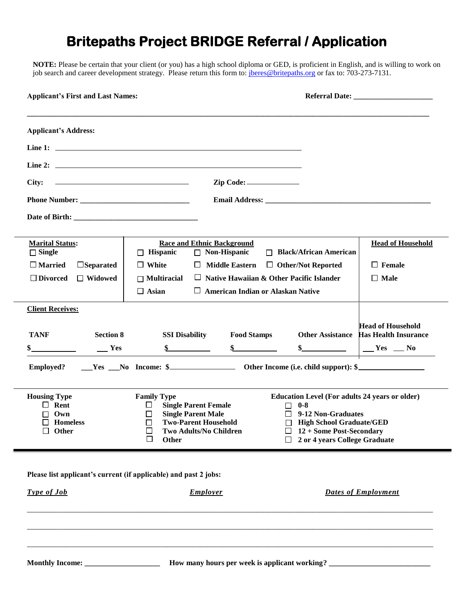# **Britepaths Project BRIDGE Referral / Application**

**NOTE:** Please be certain that your client (or you) has a high school diploma or GED, is proficient in English, and is willing to work on job search and career development strategy. Please return this form to: *[jberes@britepaths.org](mailto:smeyer@britepaths.org)* or fax to: 703-273-7131.

| <b>Applicant's First and Last Names:</b>                         |                                                             |                                                              |                                                                     |                                                                                                                         |  |
|------------------------------------------------------------------|-------------------------------------------------------------|--------------------------------------------------------------|---------------------------------------------------------------------|-------------------------------------------------------------------------------------------------------------------------|--|
| <b>Applicant's Address:</b>                                      |                                                             |                                                              |                                                                     |                                                                                                                         |  |
|                                                                  |                                                             |                                                              |                                                                     |                                                                                                                         |  |
|                                                                  |                                                             |                                                              |                                                                     |                                                                                                                         |  |
| City:                                                            |                                                             | Zip Code:                                                    |                                                                     |                                                                                                                         |  |
|                                                                  |                                                             |                                                              |                                                                     |                                                                                                                         |  |
|                                                                  |                                                             |                                                              |                                                                     |                                                                                                                         |  |
| <b>Marital Status:</b>                                           |                                                             | <b>Race and Ethnic Background</b>                            |                                                                     | <b>Head of Household</b>                                                                                                |  |
| $\Box$ Single<br>$\square$ Married<br>$\Box$ Separated           | $\Box$ Hispanic<br>$\Box$ White                             | $\Box$ Non-Hispanic<br>$\Box$ Middle Eastern                 | $\Box$ Black/African American<br>$\Box$ Other/Not Reported          | $\Box$ Female                                                                                                           |  |
| $\Box$ Widowed<br>$\Box$ Divorced                                | $\Box$ Multiracial                                          |                                                              | $\Box$ Native Hawaiian & Other Pacific Islander                     | $\Box$ Male                                                                                                             |  |
|                                                                  | $\Box$ Asian                                                |                                                              | $\Box$ American Indian or Alaskan Native                            |                                                                                                                         |  |
| <b>Client Receives:</b>                                          |                                                             |                                                              |                                                                     |                                                                                                                         |  |
|                                                                  |                                                             |                                                              |                                                                     | <b>Head of Household</b>                                                                                                |  |
| <b>TANF</b><br><b>Section 8</b>                                  | <b>SSI Disability</b><br>$\frac{1}{2}$                      | <b>Food Stamps</b>                                           |                                                                     | <b>Other Assistance Has Health Insurance</b>                                                                            |  |
| $\equiv$ Yes                                                     |                                                             |                                                              |                                                                     | $\frac{\sqrt{25}}{100}$ $\frac{\sqrt{25}}{100}$ $\frac{\sqrt{25}}{100}$ $\frac{\sqrt{25}}{100}$ $\frac{\sqrt{25}}{100}$ |  |
| <b>Employed?</b>                                                 |                                                             |                                                              |                                                                     |                                                                                                                         |  |
| <b>Housing Type</b><br>$\Box$ Rent                               | <b>Family Type</b><br><b>Single Parent Female</b><br>$\Box$ |                                                              | <b>Education Level (For adults 24 years or older)</b><br>$\Box$ 0-8 |                                                                                                                         |  |
| Own                                                              | <b>Single Parent Male</b><br>$\Box$                         |                                                              | 9-12 Non-Graduates                                                  |                                                                                                                         |  |
| $\Box$ Homeless<br>$\Box$<br>$\Box$ Other<br>ப                   |                                                             | <b>Two-Parent Household</b><br><b>Two Adults/No Children</b> |                                                                     | $\Box$ High School Graduate/GED<br>12 + Some Post-Secondary                                                             |  |
|                                                                  | Г<br>Other                                                  |                                                              | 2 or 4 years College Graduate                                       |                                                                                                                         |  |
| Please list applicant's current (if applicable) and past 2 jobs: |                                                             |                                                              |                                                                     |                                                                                                                         |  |
| Type of Job                                                      |                                                             | <b>Employer</b>                                              |                                                                     | <b>Dates of Employment</b>                                                                                              |  |
|                                                                  |                                                             |                                                              |                                                                     |                                                                                                                         |  |
|                                                                  |                                                             |                                                              |                                                                     |                                                                                                                         |  |
|                                                                  |                                                             |                                                              | How many hours per week is applicant working?                       |                                                                                                                         |  |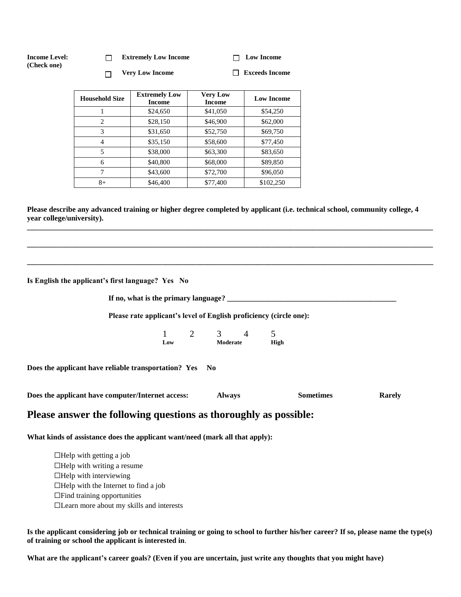| <b>Income Level:</b><br>(Check one) | <b>Extremely Low Income</b> |                        | $\Box$ Low Income |
|-------------------------------------|-----------------------------|------------------------|-------------------|
|                                     |                             | <b>Very Low Income</b> | Exceeds Income    |

| <b>Household Size</b> | <b>Extremely Low</b><br><b>Income</b> | <b>Very Low</b><br><b>Income</b> | <b>Low Income</b> |
|-----------------------|---------------------------------------|----------------------------------|-------------------|
|                       | \$24,650                              | \$41,050                         | \$54,250          |
| $\overline{c}$        | \$28,150                              | \$46,900                         | \$62,000          |
| 3                     | \$31,650                              | \$52,750                         | \$69,750          |
| 4                     | \$35,150                              | \$58,600                         | \$77,450          |
| 5                     | \$38,000                              | \$63,300                         | \$83,650          |
| 6                     | \$40,800                              | \$68,000                         | \$89,850          |
| 7                     | \$43,600                              | \$72,700                         | \$96,050          |
| 8+                    | \$46,400                              | \$77,400                         | \$102,250         |

**Please describe any advanced training or higher degree completed by applicant (i.e. technical school, community college, 4 year college/university).**

**\_\_\_\_\_\_\_\_\_\_\_\_\_\_\_\_\_\_\_\_\_\_\_\_\_\_\_\_\_\_\_\_\_\_\_\_\_\_\_\_\_\_\_\_\_\_\_\_\_\_\_\_\_\_\_\_\_\_\_\_\_\_\_\_\_\_\_\_\_\_\_\_\_\_\_\_\_\_\_\_\_\_\_\_\_\_\_\_\_\_\_\_\_\_\_\_\_\_\_\_\_\_\_\_\_\_\_\_**

**\_\_\_\_\_\_\_\_\_\_\_\_\_\_\_\_\_\_\_\_\_\_\_\_\_\_\_\_\_\_\_\_\_\_\_\_\_\_\_\_\_\_\_\_\_\_\_\_\_\_\_\_\_\_\_\_\_\_\_\_\_\_\_\_\_\_\_\_\_\_\_\_\_\_\_\_\_\_\_\_\_\_\_\_\_\_\_\_\_\_\_\_\_\_\_\_\_\_\_\_\_\_\_\_\_\_\_\_**

**\_\_\_\_\_\_\_\_\_\_\_\_\_\_\_\_\_\_\_\_\_\_\_\_\_\_\_\_\_\_\_\_\_\_\_\_\_\_\_\_\_\_\_\_\_\_\_\_\_\_\_\_\_\_\_\_\_\_\_\_\_\_\_\_\_\_\_\_\_\_\_\_\_\_\_\_\_\_\_\_\_\_\_\_\_\_\_\_\_\_\_\_\_\_\_\_\_\_\_\_\_\_\_\_\_\_\_\_**

**Is English the applicant's first language? Yes No**

**If no, what is the primary language? \_\_\_\_\_\_\_\_\_\_\_\_\_\_\_\_\_\_\_\_\_\_\_\_\_\_\_\_\_\_\_\_\_\_\_\_\_\_\_\_\_\_\_\_\_**

**Please rate applicant's level of English proficiency (circle one):**

1 2 3 4 5 **Low Moderate High**

**Does the applicant have reliable transportation? Yes No** 

| Does the applicant have computer/Internet access: | Alwavs | Sometimes | <b>Rarely</b> |
|---------------------------------------------------|--------|-----------|---------------|
|---------------------------------------------------|--------|-----------|---------------|

# **Please answer the following questions as thoroughly as possible:**

**What kinds of assistance does the applicant want/need (mark all that apply):**

 $\Box$ Help with getting a job  $\Box$ Help with writing a resume  $\Box$ Help with interviewing  $\Box$ Help with the Internet to find a job ☐Find training opportunities ☐Learn more about my skills and interests

**Is the applicant considering job or technical training or going to school to further his/her career? If so, please name the type(s) of training or school the applicant is interested in**.

**What are the applicant's career goals? (Even if you are uncertain, just write any thoughts that you might have)**